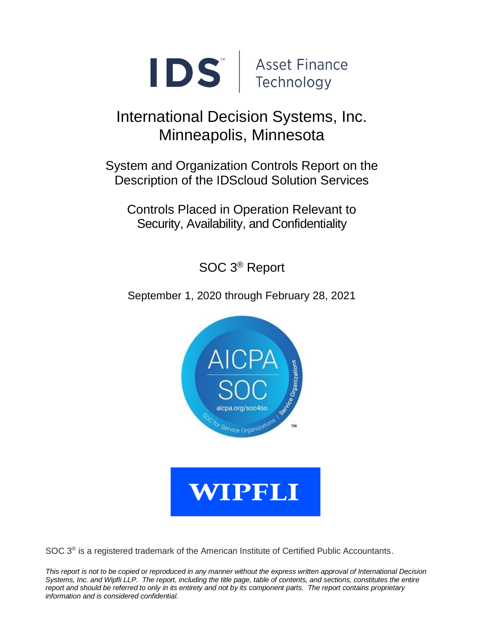**DS** Asset Finance

## International Decision Systems, Inc. Minneapolis, Minnesota

System and Organization Controls Report on the Description of the IDScloud Solution Services

Controls Placed in Operation Relevant to Security, Availability, and Confidentiality

SOC 3 ® Report

September 1, 2020 through February 28, 2021





SOC 3<sup>®</sup> is a registered trademark of the American Institute of Certified Public Accountants.

*This report is not to be copied or reproduced in any manner without the express written approval of International Decision Systems, Inc. and Wipfli LLP. The report, including the title page, table of contents, and sections, constitutes the entire report and should be referred to only in its entirety and not by its component parts. The report contains proprietary information and is considered confidential.*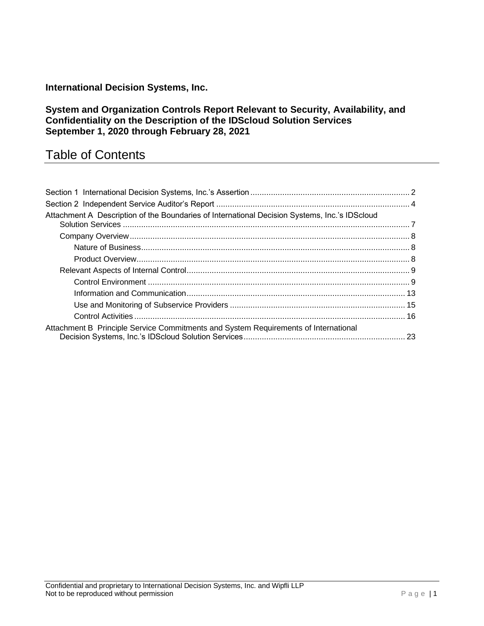## **International Decision Systems, Inc.**

## **System and Organization Controls Report Relevant to Security, Availability, and Confidentiality on the Description of the IDScloud Solution Services September 1, 2020 through February 28, 2021**

## Table of Contents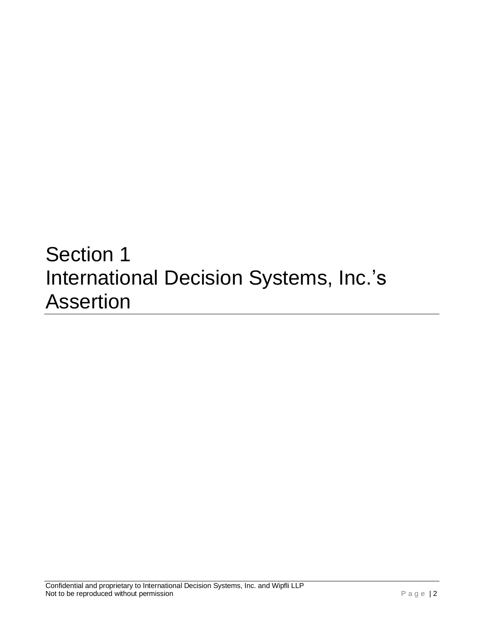# <span id="page-2-0"></span>Section 1 International Decision Systems, Inc.'s Assertion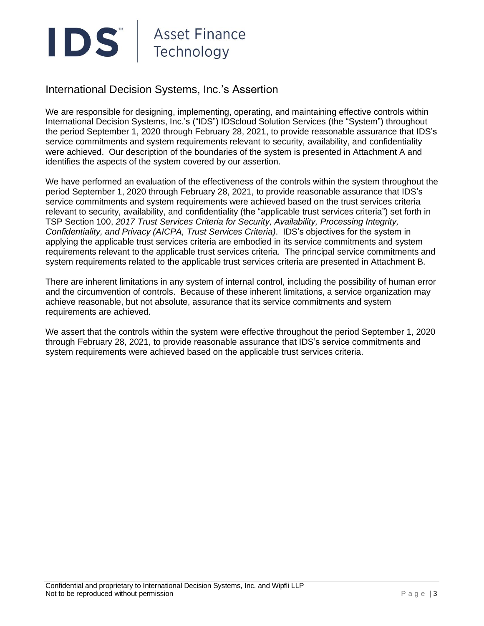

## International Decision Systems, Inc.'s Assertion

We are responsible for designing, implementing, operating, and maintaining effective controls within International Decision Systems, Inc.'s ("IDS") IDScloud Solution Services (the "System") throughout the period September 1, 2020 through February 28, 2021, to provide reasonable assurance that IDS's service commitments and system requirements relevant to security, availability, and confidentiality were achieved. Our description of the boundaries of the system is presented in Attachment A and identifies the aspects of the system covered by our assertion.

We have performed an evaluation of the effectiveness of the controls within the system throughout the period September 1, 2020 through February 28, 2021, to provide reasonable assurance that IDS's service commitments and system requirements were achieved based on the trust services criteria relevant to security, availability, and confidentiality (the "applicable trust services criteria") set forth in TSP Section 100, *2017 Trust Services Criteria for Security, Availability, Processing Integrity, Confidentiality, and Privacy (AICPA, Trust Services Criteria)*. IDS's objectives for the system in applying the applicable trust services criteria are embodied in its service commitments and system requirements relevant to the applicable trust services criteria. The principal service commitments and system requirements related to the applicable trust services criteria are presented in Attachment B.

There are inherent limitations in any system of internal control, including the possibility of human error and the circumvention of controls. Because of these inherent limitations, a service organization may achieve reasonable, but not absolute, assurance that its service commitments and system requirements are achieved.

We assert that the controls within the system were effective throughout the period September 1, 2020 through February 28, 2021, to provide reasonable assurance that IDS's service commitments and system requirements were achieved based on the applicable trust services criteria.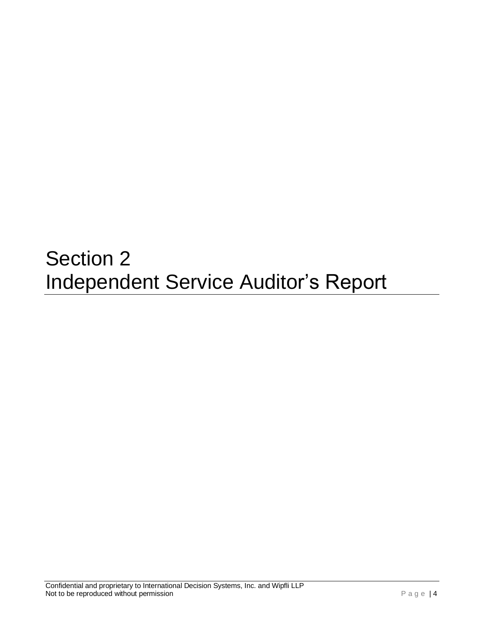# <span id="page-4-0"></span>Section 2 Independent Service Auditor's Report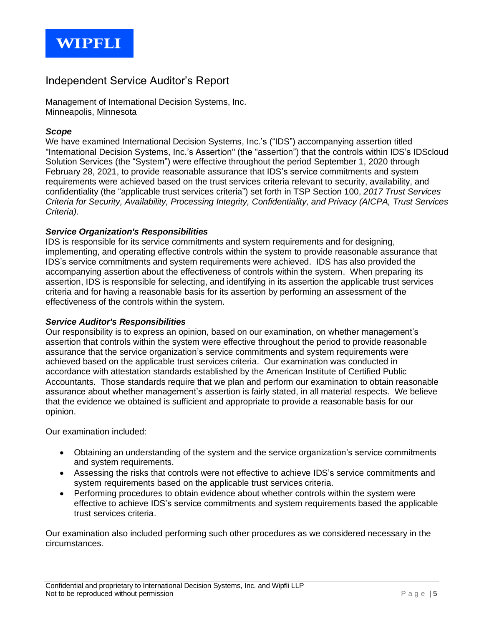

## Independent Service Auditor's Report

Management of International Decision Systems, Inc. Minneapolis, Minnesota

#### *Scope*

We have examined International Decision Systems, Inc.'s ("IDS") accompanying assertion titled "International Decision Systems, Inc.'s Assertion" (the "assertion") that the controls within IDS's IDScloud Solution Services (the "System") were effective throughout the period September 1, 2020 through February 28, 2021, to provide reasonable assurance that IDS's service commitments and system requirements were achieved based on the trust services criteria relevant to security, availability, and confidentiality (the "applicable trust services criteria") set forth in TSP Section 100, *2017 Trust Services Criteria for Security, Availability, Processing Integrity, Confidentiality, and Privacy (AICPA, Trust Services Criteria)*.

#### *Service Organization's Responsibilities*

IDS is responsible for its service commitments and system requirements and for designing, implementing, and operating effective controls within the system to provide reasonable assurance that IDS's service commitments and system requirements were achieved. IDS has also provided the accompanying assertion about the effectiveness of controls within the system. When preparing its assertion, IDS is responsible for selecting, and identifying in its assertion the applicable trust services criteria and for having a reasonable basis for its assertion by performing an assessment of the effectiveness of the controls within the system.

#### *Service Auditor's Responsibilities*

Our responsibility is to express an opinion, based on our examination, on whether management's assertion that controls within the system were effective throughout the period to provide reasonable assurance that the service organization's service commitments and system requirements were achieved based on the applicable trust services criteria. Our examination was conducted in accordance with attestation standards established by the American Institute of Certified Public Accountants. Those standards require that we plan and perform our examination to obtain reasonable assurance about whether management's assertion is fairly stated, in all material respects. We believe that the evidence we obtained is sufficient and appropriate to provide a reasonable basis for our opinion.

Our examination included:

- Obtaining an understanding of the system and the service organization's service commitments and system requirements.
- Assessing the risks that controls were not effective to achieve IDS's service commitments and system requirements based on the applicable trust services criteria.
- Performing procedures to obtain evidence about whether controls within the system were effective to achieve IDS's service commitments and system requirements based the applicable trust services criteria.

Our examination also included performing such other procedures as we considered necessary in the circumstances.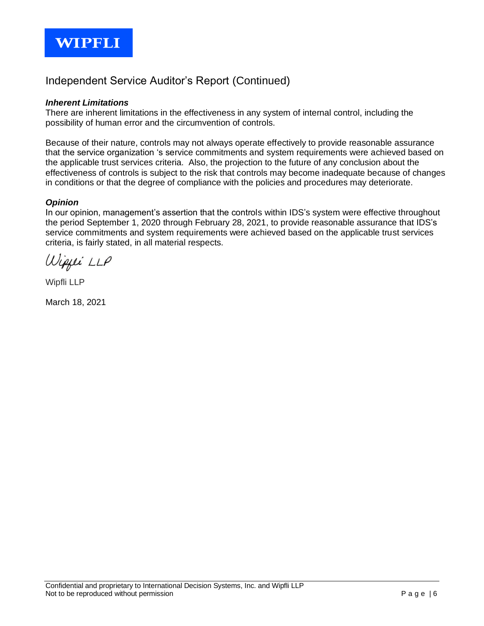

## Independent Service Auditor's Report (Continued)

#### *Inherent Limitations*

There are inherent limitations in the effectiveness in any system of internal control, including the possibility of human error and the circumvention of controls.

Because of their nature, controls may not always operate effectively to provide reasonable assurance that the service organization 's service commitments and system requirements were achieved based on the applicable trust services criteria. Also, the projection to the future of any conclusion about the effectiveness of controls is subject to the risk that controls may become inadequate because of changes in conditions or that the degree of compliance with the policies and procedures may deteriorate.

#### *Opinion*

In our opinion, management's assertion that the controls within IDS's system were effective throughout the period September 1, 2020 through February 28, 2021, to provide reasonable assurance that IDS's service commitments and system requirements were achieved based on the applicable trust services criteria, is fairly stated, in all material respects.

Wippei LLP

Wipfli LLP

March 18, 2021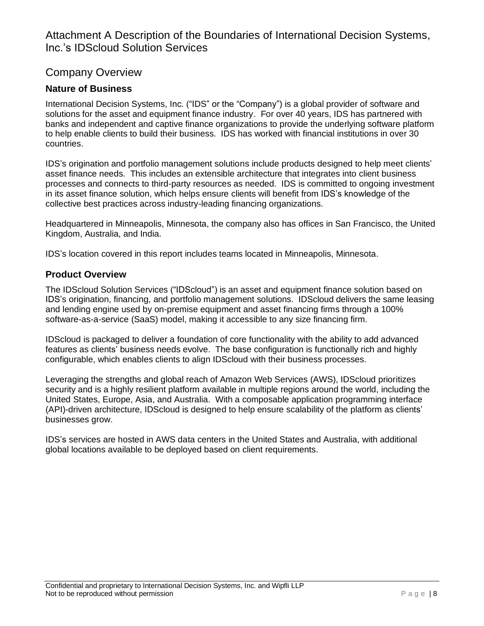## <span id="page-8-0"></span>Company Overview

## <span id="page-8-1"></span>**Nature of Business**

International Decision Systems, Inc. ("IDS" or the "Company") is a global provider of software and solutions for the asset and equipment finance industry. For over 40 years, IDS has partnered with banks and independent and captive finance organizations to provide the underlying software platform to help enable clients to build their business. IDS has worked with financial institutions in over 30 countries.

IDS's origination and portfolio management solutions include products designed to help meet clients' asset finance needs. This includes an extensible architecture that integrates into client business processes and connects to third-party resources as needed. IDS is committed to ongoing investment in its asset finance solution, which helps ensure clients will benefit from IDS's knowledge of the collective best practices across industry-leading financing organizations.

Headquartered in Minneapolis, Minnesota, the company also has offices in San Francisco, the United Kingdom, Australia, and India.

IDS's location covered in this report includes teams located in Minneapolis, Minnesota.

#### <span id="page-8-2"></span>**Product Overview**

The IDScloud Solution Services ("IDScloud") is an asset and equipment finance solution based on IDS's origination, financing, and portfolio management solutions. IDScloud delivers the same leasing and lending engine used by on-premise equipment and asset financing firms through a 100% software-as-a-service (SaaS) model, making it accessible to any size financing firm.

IDScloud is packaged to deliver a foundation of core functionality with the ability to add advanced features as clients' business needs evolve. The base configuration is functionally rich and highly configurable, which enables clients to align IDScloud with their business processes.

Leveraging the strengths and global reach of Amazon Web Services (AWS), IDScloud prioritizes security and is a highly resilient platform available in multiple regions around the world, including the United States, Europe, Asia, and Australia. With a composable application programming interface (API)-driven architecture, IDScloud is designed to help ensure scalability of the platform as clients' businesses grow.

IDS's services are hosted in AWS data centers in the United States and Australia, with additional global locations available to be deployed based on client requirements.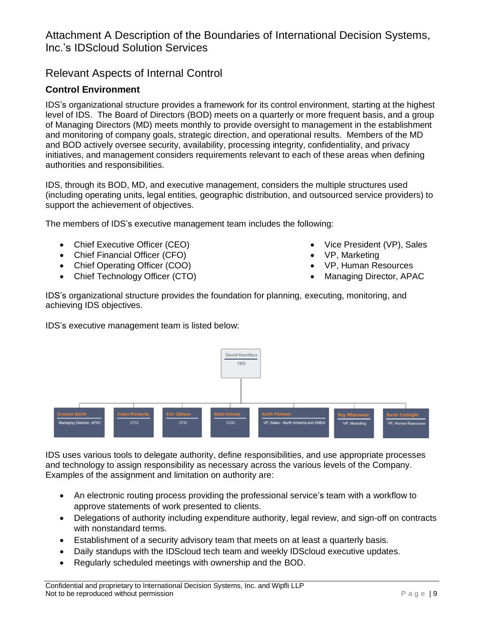## <span id="page-9-0"></span>Relevant Aspects of Internal Control

## <span id="page-9-1"></span>**Control Environment**

IDS's organizational structure provides a framework for its control environment, starting at the highest level of IDS. The Board of Directors (BOD) meets on a quarterly or more frequent basis, and a group of Managing Directors (MD) meets monthly to provide oversight to management in the establishment and monitoring of company goals, strategic direction, and operational results. Members of the MD and BOD actively oversee security, availability, processing integrity, confidentiality, and privacy initiatives, and management considers requirements relevant to each of these areas when defining authorities and responsibilities.

IDS, through its BOD, MD, and executive management, considers the multiple structures used (including operating units, legal entities, geographic distribution, and outsourced service providers) to support the achievement of objectives.

The members of IDS's executive management team includes the following:

- Chief Executive Officer (CEO) Vice President (VP), Sales
- Chief Financial Officer (CFO) **•** VP, Marketing
- Chief Operating Officer (COO)
- Chief Technology Officer (CTO)
- 
- 
- VP, Human Resources
- Managing Director, APAC

IDS's organizational structure provides the foundation for planning, executing, monitoring, and achieving IDS objectives.

IDS's executive management team is listed below:



IDS uses various tools to delegate authority, define responsibilities, and use appropriate processes and technology to assign responsibility as necessary across the various levels of the Company. Examples of the assignment and limitation on authority are:

- An electronic routing process providing the professional service's team with a workflow to approve statements of work presented to clients.
- Delegations of authority including expenditure authority, legal review, and sign-off on contracts with nonstandard terms.
- Establishment of a security advisory team that meets on at least a quarterly basis.
- Daily standups with the IDScloud tech team and weekly IDScloud executive updates.
- Regularly scheduled meetings with ownership and the BOD.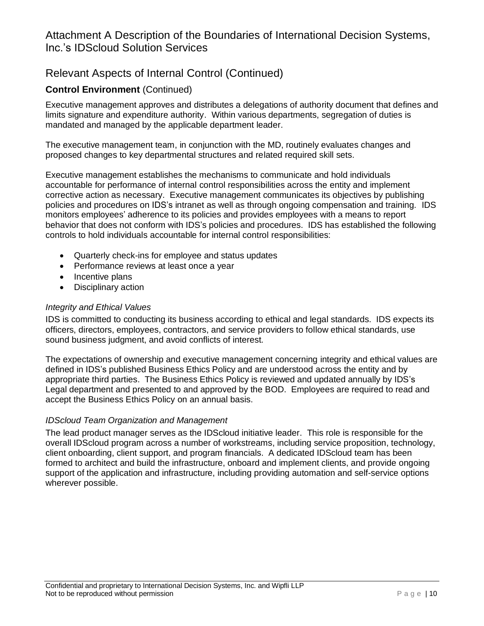## Relevant Aspects of Internal Control (Continued)

## **Control Environment** (Continued)

Executive management approves and distributes a delegations of authority document that defines and limits signature and expenditure authority. Within various departments, segregation of duties is mandated and managed by the applicable department leader.

The executive management team, in conjunction with the MD, routinely evaluates changes and proposed changes to key departmental structures and related required skill sets.

Executive management establishes the mechanisms to communicate and hold individuals accountable for performance of internal control responsibilities across the entity and implement corrective action as necessary. Executive management communicates its objectives by publishing policies and procedures on IDS's intranet as well as through ongoing compensation and training. IDS monitors employees' adherence to its policies and provides employees with a means to report behavior that does not conform with IDS's policies and procedures. IDS has established the following controls to hold individuals accountable for internal control responsibilities:

- Quarterly check-ins for employee and status updates
- Performance reviews at least once a year
- Incentive plans
- Disciplinary action

#### *Integrity and Ethical Values*

IDS is committed to conducting its business according to ethical and legal standards. IDS expects its officers, directors, employees, contractors, and service providers to follow ethical standards, use sound business judgment, and avoid conflicts of interest.

The expectations of ownership and executive management concerning integrity and ethical values are defined in IDS's published Business Ethics Policy and are understood across the entity and by appropriate third parties. The Business Ethics Policy is reviewed and updated annually by IDS's Legal department and presented to and approved by the BOD. Employees are required to read and accept the Business Ethics Policy on an annual basis.

#### *IDScloud Team Organization and Management*

The lead product manager serves as the IDScloud initiative leader. This role is responsible for the overall IDScloud program across a number of workstreams, including service proposition, technology, client onboarding, client support, and program financials. A dedicated IDScloud team has been formed to architect and build the infrastructure, onboard and implement clients, and provide ongoing support of the application and infrastructure, including providing automation and self-service options wherever possible.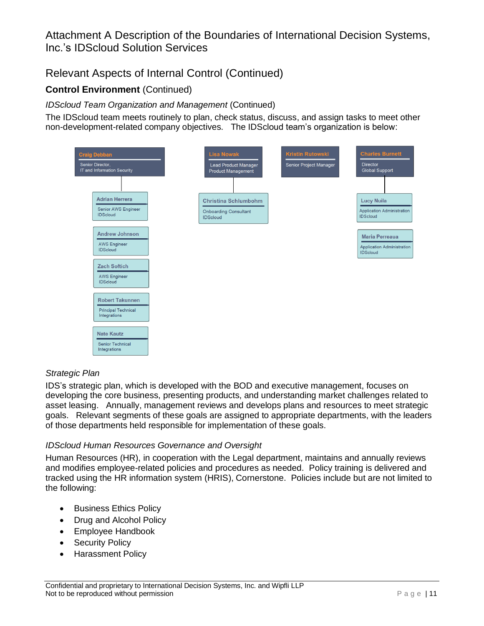## Relevant Aspects of Internal Control (Continued)

## **Control Environment** (Continued)

#### *IDScloud Team Organization and Management* (Continued)

The IDScloud team meets routinely to plan, check status, discuss, and assign tasks to meet other non-development-related company objectives. The IDScloud team's organization is below:



#### *Strategic Plan*

IDS's strategic plan, which is developed with the BOD and executive management, focuses on developing the core business, presenting products, and understanding market challenges related to asset leasing. Annually, management reviews and develops plans and resources to meet strategic goals. Relevant segments of these goals are assigned to appropriate departments, with the leaders of those departments held responsible for implementation of these goals.

#### *IDScloud Human Resources Governance and Oversight*

Human Resources (HR), in cooperation with the Legal department, maintains and annually reviews and modifies employee-related policies and procedures as needed. Policy training is delivered and tracked using the HR information system (HRIS), Cornerstone. Policies include but are not limited to the following:

- Business Ethics Policy
- Drug and Alcohol Policy
- Employee Handbook
- Security Policy
- Harassment Policy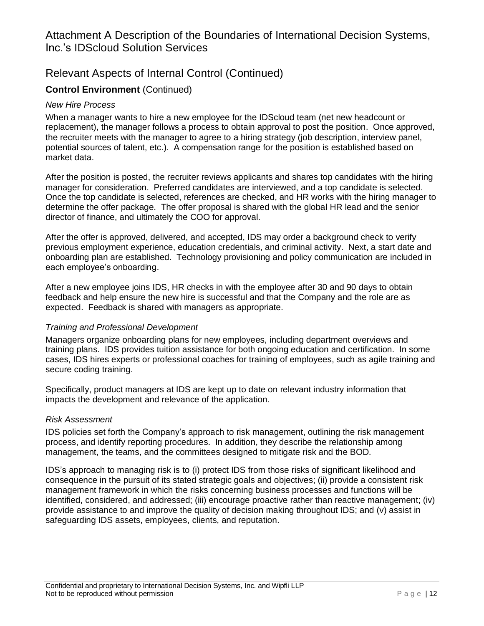## Relevant Aspects of Internal Control (Continued)

## **Control Environment** (Continued)

#### *New Hire Process*

When a manager wants to hire a new employee for the IDScloud team (net new headcount or replacement), the manager follows a process to obtain approval to post the position. Once approved, the recruiter meets with the manager to agree to a hiring strategy (job description, interview panel, potential sources of talent, etc.). A compensation range for the position is established based on market data.

After the position is posted, the recruiter reviews applicants and shares top candidates with the hiring manager for consideration. Preferred candidates are interviewed, and a top candidate is selected. Once the top candidate is selected, references are checked, and HR works with the hiring manager to determine the offer package. The offer proposal is shared with the global HR lead and the senior director of finance, and ultimately the COO for approval.

After the offer is approved, delivered, and accepted, IDS may order a background check to verify previous employment experience, education credentials, and criminal activity. Next, a start date and onboarding plan are established. Technology provisioning and policy communication are included in each employee's onboarding.

After a new employee joins IDS, HR checks in with the employee after 30 and 90 days to obtain feedback and help ensure the new hire is successful and that the Company and the role are as expected. Feedback is shared with managers as appropriate.

#### *Training and Professional Development*

Managers organize onboarding plans for new employees, including department overviews and training plans. IDS provides tuition assistance for both ongoing education and certification. In some cases, IDS hires experts or professional coaches for training of employees, such as agile training and secure coding training.

Specifically, product managers at IDS are kept up to date on relevant industry information that impacts the development and relevance of the application.

#### *Risk Assessment*

IDS policies set forth the Company's approach to risk management, outlining the risk management process, and identify reporting procedures. In addition, they describe the relationship among management, the teams, and the committees designed to mitigate risk and the BOD.

IDS's approach to managing risk is to (i) protect IDS from those risks of significant likelihood and consequence in the pursuit of its stated strategic goals and objectives; (ii) provide a consistent risk management framework in which the risks concerning business processes and functions will be identified, considered, and addressed; (iii) encourage proactive rather than reactive management; (iv) provide assistance to and improve the quality of decision making throughout IDS; and (v) assist in safeguarding IDS assets, employees, clients, and reputation.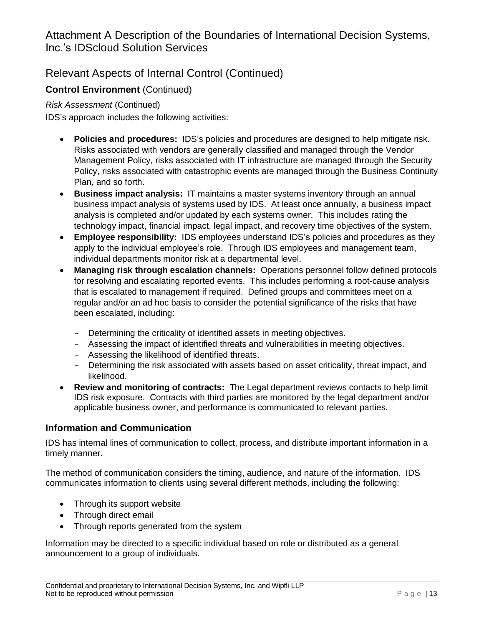## Relevant Aspects of Internal Control (Continued)

## **Control Environment** (Continued)

*Risk Assessment* (Continued)

IDS's approach includes the following activities:

- **Policies and procedures:** IDS's policies and procedures are designed to help mitigate risk. Risks associated with vendors are generally classified and managed through the Vendor Management Policy, risks associated with IT infrastructure are managed through the Security Policy, risks associated with catastrophic events are managed through the Business Continuity Plan, and so forth.
- **Business impact analysis:** IT maintains a master systems inventory through an annual business impact analysis of systems used by IDS. At least once annually, a business impact analysis is completed and/or updated by each systems owner. This includes rating the technology impact, financial impact, legal impact, and recovery time objectives of the system.
- **Employee responsibility:** IDS employees understand IDS's policies and procedures as they apply to the individual employee's role. Through IDS employees and management team, individual departments monitor risk at a departmental level.
- **Managing risk through escalation channels:** Operations personnel follow defined protocols for resolving and escalating reported events. This includes performing a root-cause analysis that is escalated to management if required. Defined groups and committees meet on a regular and/or an ad hoc basis to consider the potential significance of the risks that have been escalated, including:
	- Determining the criticality of identified assets in meeting objectives.
	- Assessing the impact of identified threats and vulnerabilities in meeting objectives.
	- Assessing the likelihood of identified threats.
	- Determining the risk associated with assets based on asset criticality, threat impact, and likelihood.
- **Review and monitoring of contracts:** The Legal department reviews contacts to help limit IDS risk exposure. Contracts with third parties are monitored by the legal department and/or applicable business owner, and performance is communicated to relevant parties.

## <span id="page-13-0"></span>**Information and Communication**

IDS has internal lines of communication to collect, process, and distribute important information in a timely manner.

The method of communication considers the timing, audience, and nature of the information. IDS communicates information to clients using several different methods, including the following:

- Through its support website
- Through direct email
- Through reports generated from the system

Information may be directed to a specific individual based on role or distributed as a general announcement to a group of individuals.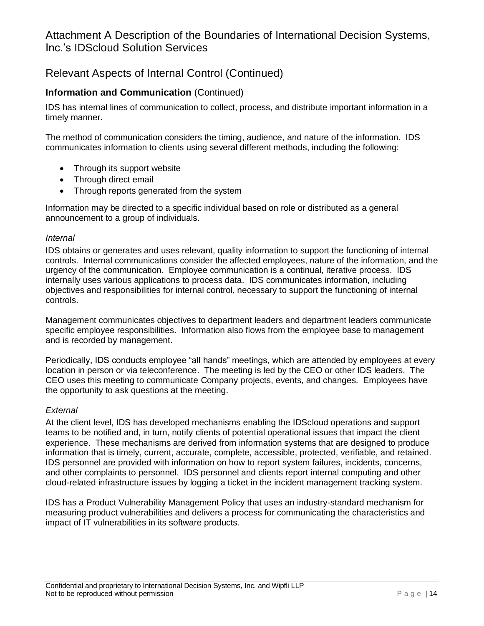## Relevant Aspects of Internal Control (Continued)

## **Information and Communication** (Continued)

IDS has internal lines of communication to collect, process, and distribute important information in a timely manner.

The method of communication considers the timing, audience, and nature of the information. IDS communicates information to clients using several different methods, including the following:

- Through its support website
- Through direct email
- Through reports generated from the system

Information may be directed to a specific individual based on role or distributed as a general announcement to a group of individuals.

#### *Internal*

IDS obtains or generates and uses relevant, quality information to support the functioning of internal controls. Internal communications consider the affected employees, nature of the information, and the urgency of the communication. Employee communication is a continual, iterative process. IDS internally uses various applications to process data. IDS communicates information, including objectives and responsibilities for internal control, necessary to support the functioning of internal controls.

Management communicates objectives to department leaders and department leaders communicate specific employee responsibilities. Information also flows from the employee base to management and is recorded by management.

Periodically, IDS conducts employee "all hands" meetings, which are attended by employees at every location in person or via teleconference. The meeting is led by the CEO or other IDS leaders. The CEO uses this meeting to communicate Company projects, events, and changes. Employees have the opportunity to ask questions at the meeting.

#### *External*

At the client level, IDS has developed mechanisms enabling the IDScloud operations and support teams to be notified and, in turn, notify clients of potential operational issues that impact the client experience. These mechanisms are derived from information systems that are designed to produce information that is timely, current, accurate, complete, accessible, protected, verifiable, and retained. IDS personnel are provided with information on how to report system failures, incidents, concerns, and other complaints to personnel. IDS personnel and clients report internal computing and other cloud-related infrastructure issues by logging a ticket in the incident management tracking system.

IDS has a Product Vulnerability Management Policy that uses an industry-standard mechanism for measuring product vulnerabilities and delivers a process for communicating the characteristics and impact of IT vulnerabilities in its software products.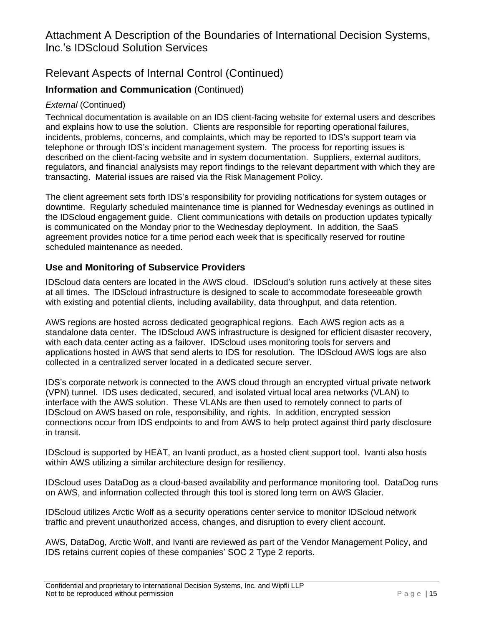## Relevant Aspects of Internal Control (Continued)

## **Information and Communication** (Continued)

#### *External* (Continued)

Technical documentation is available on an IDS client-facing website for external users and describes and explains how to use the solution. Clients are responsible for reporting operational failures, incidents, problems, concerns, and complaints, which may be reported to IDS's support team via telephone or through IDS's incident management system. The process for reporting issues is described on the client-facing website and in system documentation. Suppliers, external auditors, regulators, and financial analysists may report findings to the relevant department with which they are transacting. Material issues are raised via the Risk Management Policy.

The client agreement sets forth IDS's responsibility for providing notifications for system outages or downtime. Regularly scheduled maintenance time is planned for Wednesday evenings as outlined in the IDScloud engagement guide. Client communications with details on production updates typically is communicated on the Monday prior to the Wednesday deployment. In addition, the SaaS agreement provides notice for a time period each week that is specifically reserved for routine scheduled maintenance as needed.

## <span id="page-15-0"></span>**Use and Monitoring of Subservice Providers**

IDScloud data centers are located in the AWS cloud. IDScloud's solution runs actively at these sites at all times. The IDScloud infrastructure is designed to scale to accommodate foreseeable growth with existing and potential clients, including availability, data throughput, and data retention.

AWS regions are hosted across dedicated geographical regions. Each AWS region acts as a standalone data center. The IDScloud AWS infrastructure is designed for efficient disaster recovery, with each data center acting as a failover. IDScloud uses monitoring tools for servers and applications hosted in AWS that send alerts to IDS for resolution. The IDScloud AWS logs are also collected in a centralized server located in a dedicated secure server.

IDS's corporate network is connected to the AWS cloud through an encrypted virtual private network (VPN) tunnel. IDS uses dedicated, secured, and isolated virtual local area networks (VLAN) to interface with the AWS solution. These VLANs are then used to remotely connect to parts of IDScloud on AWS based on role, responsibility, and rights. In addition, encrypted session connections occur from IDS endpoints to and from AWS to help protect against third party disclosure in transit.

IDScloud is supported by HEAT, an Ivanti product, as a hosted client support tool. Ivanti also hosts within AWS utilizing a similar architecture design for resiliency.

IDScloud uses DataDog as a cloud-based availability and performance monitoring tool. DataDog runs on AWS, and information collected through this tool is stored long term on AWS Glacier.

IDScloud utilizes Arctic Wolf as a security operations center service to monitor IDScloud network traffic and prevent unauthorized access, changes, and disruption to every client account.

AWS, DataDog, Arctic Wolf, and Ivanti are reviewed as part of the Vendor Management Policy, and IDS retains current copies of these companies' SOC 2 Type 2 reports.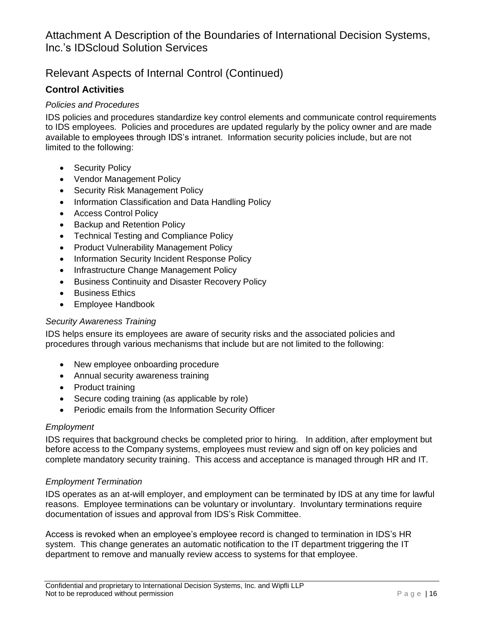## <span id="page-16-0"></span>**Control Activities**

## *Policies and Procedures*

IDS policies and procedures standardize key control elements and communicate control requirements to IDS employees. Policies and procedures are updated regularly by the policy owner and are made available to employees through IDS's intranet. Information security policies include, but are not limited to the following:

- Security Policy
- Vendor Management Policy
- Security Risk Management Policy
- Information Classification and Data Handling Policy
- Access Control Policy
- Backup and Retention Policy
- Technical Testing and Compliance Policy
- Product Vulnerability Management Policy
- Information Security Incident Response Policy
- Infrastructure Change Management Policy
- Business Continuity and Disaster Recovery Policy
- Business Ethics
- Employee Handbook

## *Security Awareness Training*

IDS helps ensure its employees are aware of security risks and the associated policies and procedures through various mechanisms that include but are not limited to the following:

- New employee onboarding procedure
- Annual security awareness training
- Product training
- Secure coding training (as applicable by role)
- Periodic emails from the Information Security Officer

## *Employment*

IDS requires that background checks be completed prior to hiring. In addition, after employment but before access to the Company systems, employees must review and sign off on key policies and complete mandatory security training. This access and acceptance is managed through HR and IT.

## *Employment Termination*

IDS operates as an at-will employer, and employment can be terminated by IDS at any time for lawful reasons. Employee terminations can be voluntary or involuntary. Involuntary terminations require documentation of issues and approval from IDS's Risk Committee.

Access is revoked when an employee's employee record is changed to termination in IDS's HR system. This change generates an automatic notification to the IT department triggering the IT department to remove and manually review access to systems for that employee.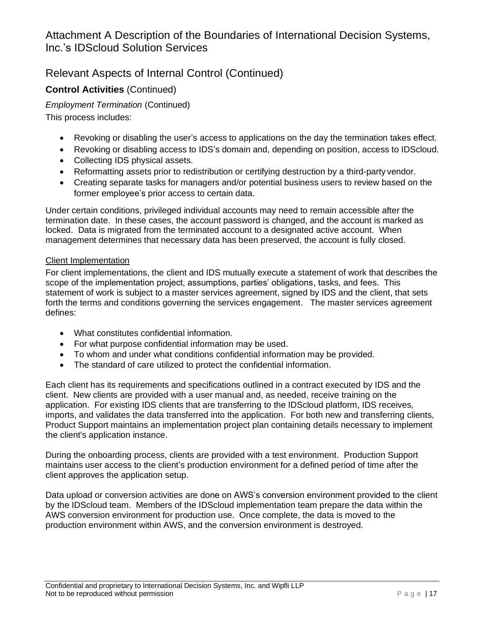## Relevant Aspects of Internal Control (Continued)

## **Control Activities** (Continued)

*Employment Termination* (Continued)

This process includes:

- Revoking or disabling the user's access to applications on the day the termination takes effect.
- Revoking or disabling access to IDS's domain and, depending on position, access to IDScloud.
- Collecting IDS physical assets.
- Reformatting assets prior to redistribution or certifying destruction by a third-party vendor.
- Creating separate tasks for managers and/or potential business users to review based on the former employee's prior access to certain data.

Under certain conditions, privileged individual accounts may need to remain accessible after the termination date. In these cases, the account password is changed, and the account is marked as locked. Data is migrated from the terminated account to a designated active account. When management determines that necessary data has been preserved, the account is fully closed.

#### Client Implementation

For client implementations, the client and IDS mutually execute a statement of work that describes the scope of the implementation project, assumptions, parties' obligations, tasks, and fees. This statement of work is subject to a master services agreement, signed by IDS and the client, that sets forth the terms and conditions governing the services engagement. The master services agreement defines:

- What constitutes confidential information.
- For what purpose confidential information may be used.
- To whom and under what conditions confidential information may be provided.
- The standard of care utilized to protect the confidential information.

Each client has its requirements and specifications outlined in a contract executed by IDS and the client. New clients are provided with a user manual and, as needed, receive training on the application. For existing IDS clients that are transferring to the IDScloud platform, IDS receives, imports, and validates the data transferred into the application. For both new and transferring clients, Product Support maintains an implementation project plan containing details necessary to implement the client's application instance.

During the onboarding process, clients are provided with a test environment. Production Support maintains user access to the client's production environment for a defined period of time after the client approves the application setup.

Data upload or conversion activities are done on AWS's conversion environment provided to the client by the IDScloud team. Members of the IDScloud implementation team prepare the data within the AWS conversion environment for production use. Once complete, the data is moved to the production environment within AWS, and the conversion environment is destroyed.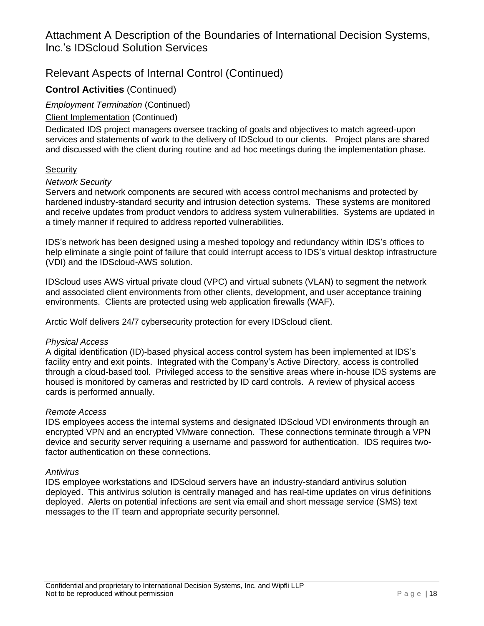## Relevant Aspects of Internal Control (Continued)

## **Control Activities** (Continued)

#### *Employment Termination* (Continued)

#### Client Implementation (Continued)

Dedicated IDS project managers oversee tracking of goals and objectives to match agreed-upon services and statements of work to the delivery of IDScloud to our clients. Project plans are shared and discussed with the client during routine and ad hoc meetings during the implementation phase.

#### **Security**

#### *Network Security*

Servers and network components are secured with access control mechanisms and protected by hardened industry-standard security and intrusion detection systems. These systems are monitored and receive updates from product vendors to address system vulnerabilities. Systems are updated in a timely manner if required to address reported vulnerabilities.

IDS's network has been designed using a meshed topology and redundancy within IDS's offices to help eliminate a single point of failure that could interrupt access to IDS's virtual desktop infrastructure (VDI) and the IDScloud-AWS solution.

IDScloud uses AWS virtual private cloud (VPC) and virtual subnets (VLAN) to segment the network and associated client environments from other clients, development, and user acceptance training environments. Clients are protected using web application firewalls (WAF).

Arctic Wolf delivers 24/7 cybersecurity protection for every IDScloud client.

#### *Physical Access*

A digital identification (ID)-based physical access control system has been implemented at IDS's facility entry and exit points. Integrated with the Company's Active Directory, access is controlled through a cloud-based tool. Privileged access to the sensitive areas where in-house IDS systems are housed is monitored by cameras and restricted by ID card controls. A review of physical access cards is performed annually.

#### *Remote Access*

IDS employees access the internal systems and designated IDScloud VDI environments through an encrypted VPN and an encrypted VMware connection. These connections terminate through a VPN device and security server requiring a username and password for authentication. IDS requires twofactor authentication on these connections.

#### *Antivirus*

IDS employee workstations and IDScloud servers have an industry-standard antivirus solution deployed. This antivirus solution is centrally managed and has real-time updates on virus definitions deployed. Alerts on potential infections are sent via email and short message service (SMS) text messages to the IT team and appropriate security personnel.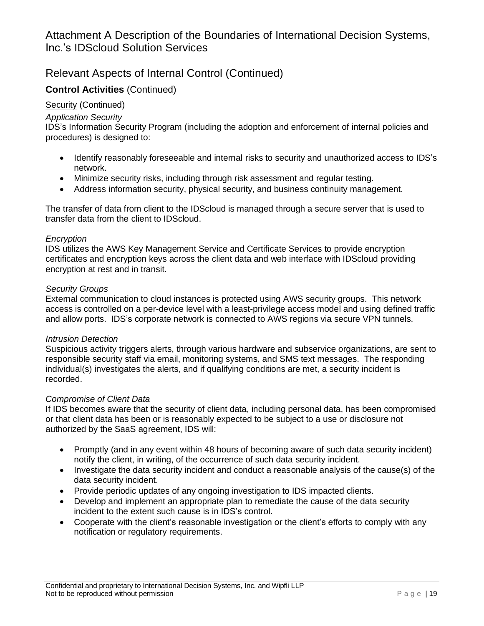## Relevant Aspects of Internal Control (Continued)

## **Control Activities** (Continued)

#### Security (Continued)

#### *Application Security*

IDS's Information Security Program (including the adoption and enforcement of internal policies and procedures) is designed to:

- Identify reasonably foreseeable and internal risks to security and unauthorized access to IDS's network.
- Minimize security risks, including through risk assessment and regular testing.
- Address information security, physical security, and business continuity management.

The transfer of data from client to the IDScloud is managed through a secure server that is used to transfer data from the client to IDScloud.

#### *Encryption*

IDS utilizes the AWS Key Management Service and Certificate Services to provide encryption certificates and encryption keys across the client data and web interface with IDScloud providing encryption at rest and in transit.

#### *Security Groups*

External communication to cloud instances is protected using AWS security groups. This network access is controlled on a per-device level with a least-privilege access model and using defined traffic and allow ports. IDS's corporate network is connected to AWS regions via secure VPN tunnels.

#### *Intrusion Detection*

Suspicious activity triggers alerts, through various hardware and subservice organizations, are sent to responsible security staff via email, monitoring systems, and SMS text messages. The responding individual(s) investigates the alerts, and if qualifying conditions are met, a security incident is recorded.

#### *Compromise of Client Data*

If IDS becomes aware that the security of client data, including personal data, has been compromised or that client data has been or is reasonably expected to be subject to a use or disclosure not authorized by the SaaS agreement, IDS will:

- Promptly (and in any event within 48 hours of becoming aware of such data security incident) notify the client, in writing, of the occurrence of such data security incident.
- Investigate the data security incident and conduct a reasonable analysis of the cause(s) of the data security incident.
- Provide periodic updates of any ongoing investigation to IDS impacted clients.
- Develop and implement an appropriate plan to remediate the cause of the data security incident to the extent such cause is in IDS's control.
- Cooperate with the client's reasonable investigation or the client's efforts to comply with any notification or regulatory requirements.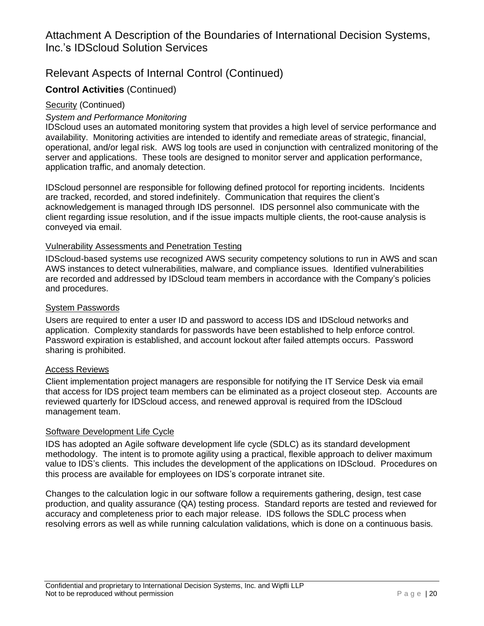## **Control Activities** (Continued)

## Security (Continued)

## *System and Performance Monitoring*

IDScloud uses an automated monitoring system that provides a high level of service performance and availability. Monitoring activities are intended to identify and remediate areas of strategic, financial, operational, and/or legal risk. AWS log tools are used in conjunction with centralized monitoring of the server and applications. These tools are designed to monitor server and application performance, application traffic, and anomaly detection.

IDScloud personnel are responsible for following defined protocol for reporting incidents. Incidents are tracked, recorded, and stored indefinitely. Communication that requires the client's acknowledgement is managed through IDS personnel. IDS personnel also communicate with the client regarding issue resolution, and if the issue impacts multiple clients, the root-cause analysis is conveyed via email.

#### Vulnerability Assessments and Penetration Testing

IDScloud-based systems use recognized AWS security competency solutions to run in AWS and scan AWS instances to detect vulnerabilities, malware, and compliance issues. Identified vulnerabilities are recorded and addressed by IDScloud team members in accordance with the Company's policies and procedures.

#### System Passwords

Users are required to enter a user ID and password to access IDS and IDScloud networks and application. Complexity standards for passwords have been established to help enforce control. Password expiration is established, and account lockout after failed attempts occurs. Password sharing is prohibited.

#### Access Reviews

Client implementation project managers are responsible for notifying the IT Service Desk via email that access for IDS project team members can be eliminated as a project closeout step. Accounts are reviewed quarterly for IDScloud access, and renewed approval is required from the IDScloud management team.

#### Software Development Life Cycle

IDS has adopted an Agile software development life cycle (SDLC) as its standard development methodology. The intent is to promote agility using a practical, flexible approach to deliver maximum value to IDS's clients. This includes the development of the applications on IDScloud. Procedures on this process are available for employees on IDS's corporate intranet site.

Changes to the calculation logic in our software follow a requirements gathering, design, test case production, and quality assurance (QA) testing process. Standard reports are tested and reviewed for accuracy and completeness prior to each major release. IDS follows the SDLC process when resolving errors as well as while running calculation validations, which is done on a continuous basis.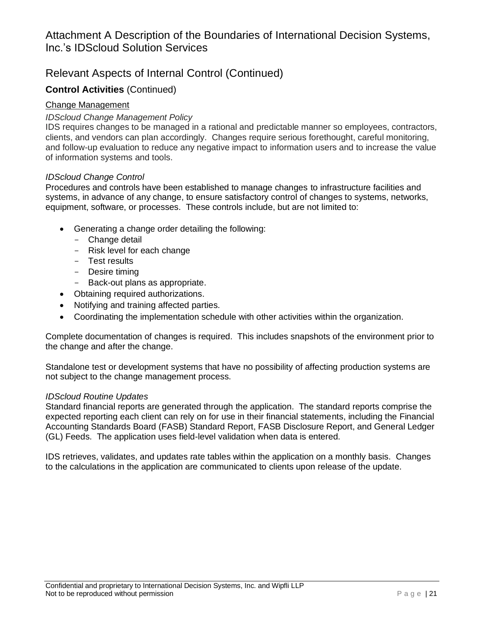## **Control Activities** (Continued)

## Change Management

## *IDScloud Change Management Policy*

IDS requires changes to be managed in a rational and predictable manner so employees, contractors, clients, and vendors can plan accordingly. Changes require serious forethought, careful monitoring, and follow-up evaluation to reduce any negative impact to information users and to increase the value of information systems and tools.

#### *IDScloud Change Control*

Procedures and controls have been established to manage changes to infrastructure facilities and systems, in advance of any change, to ensure satisfactory control of changes to systems, networks, equipment, software, or processes. These controls include, but are not limited to:

- Generating a change order detailing the following:
	- Change detail
	- Risk level for each change
	- Test results
	- Desire timing
	- Back-out plans as appropriate.
- Obtaining required authorizations.
- Notifying and training affected parties.
- Coordinating the implementation schedule with other activities within the organization.

Complete documentation of changes is required. This includes snapshots of the environment prior to the change and after the change.

Standalone test or development systems that have no possibility of affecting production systems are not subject to the change management process.

#### *IDScloud Routine Updates*

Standard financial reports are generated through the application. The standard reports comprise the expected reporting each client can rely on for use in their financial statements, including the Financial Accounting Standards Board (FASB) Standard Report, FASB Disclosure Report, and General Ledger (GL) Feeds. The application uses field-level validation when data is entered.

IDS retrieves, validates, and updates rate tables within the application on a monthly basis. Changes to the calculations in the application are communicated to clients upon release of the update.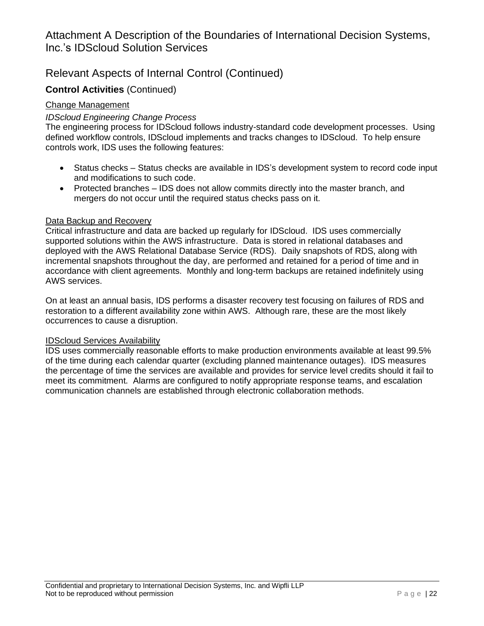## **Control Activities** (Continued)

## Change Management

## *IDScloud Engineering Change Process*

The engineering process for IDScloud follows industry-standard code development processes. Using defined workflow controls, IDScloud implements and tracks changes to IDScloud. To help ensure controls work, IDS uses the following features:

- Status checks Status checks are available in IDS's development system to record code input and modifications to such code.
- Protected branches IDS does not allow commits directly into the master branch, and mergers do not occur until the required status checks pass on it.

#### Data Backup and Recovery

Critical infrastructure and data are backed up regularly for IDScloud. IDS uses commercially supported solutions within the AWS infrastructure. Data is stored in relational databases and deployed with the AWS Relational Database Service (RDS). Daily snapshots of RDS, along with incremental snapshots throughout the day, are performed and retained for a period of time and in accordance with client agreements. Monthly and long-term backups are retained indefinitely using AWS services.

On at least an annual basis, IDS performs a disaster recovery test focusing on failures of RDS and restoration to a different availability zone within AWS. Although rare, these are the most likely occurrences to cause a disruption.

#### IDScloud Services Availability

IDS uses commercially reasonable efforts to make production environments available at least 99.5% of the time during each calendar quarter (excluding planned maintenance outages). IDS measures the percentage of time the services are available and provides for service level credits should it fail to meet its commitment. Alarms are configured to notify appropriate response teams, and escalation communication channels are established through electronic collaboration methods.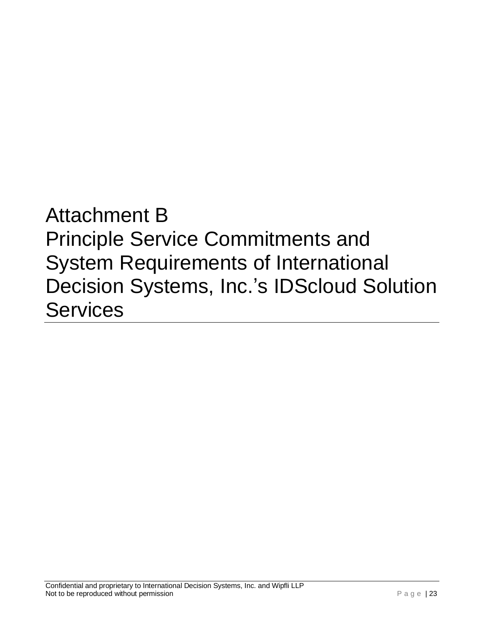<span id="page-23-0"></span>Attachment B Principle Service Commitments and System Requirements of International Decision Systems, Inc.'s IDScloud Solution **Services**